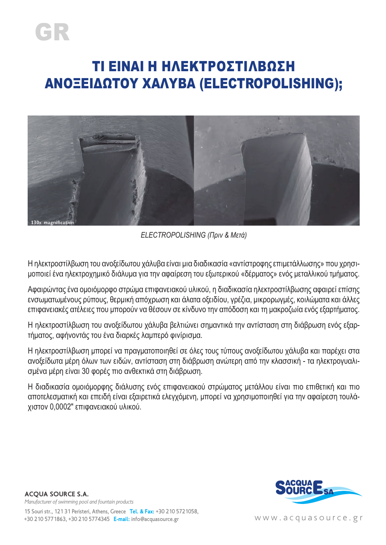# GR

## ΤΙ ΕΙΝΑΙ Η ΗΛΕΚΤΡΟΣΤΊΛΒΩΣΗ ΑΝΟΞΕΙΔΩΤΟΥ ΧΑΛΥΒΑ (ELECTROPOLISHING);



*ELECTROPOLISHING (Πριν & Μετά)*

Η ηλεκτροστίλβωση του ανοξείδωτου χάλυβα είναι μια διαδικασία «αντίστροφης επιμετάλλωσης» που χρησιμοποιεί ένα ηλεκτροχημικό διάλυμα για την αφαίρεση του εξωτερικού «δέρματος» ενός μεταλλικού τμήματος.

Αφαιρώντας ένα ομοιόμορφο στρώμα επιφανειακού υλικού, η διαδικασία ηλεκτροστίλβωσης αφαιρεί επίσης ενσωματωμένους ρύπους, θερμική απόχρωση και άλατα οξειδίου, γρέζια, μικρορωγμές, κοιλώματα και άλλες επιφανειακές ατέλειες που μπορούν να θέσουν σε κίνδυνο την απόδοση και τη μακροζωία ενός εξαρτήματος.

Η ηλεκτροστίλβωση του ανοξείδωτου χάλυβα βελτιώνει σημαντικά την αντίσταση στη διάβρωση ενός εξαρτήματος, αφήνοντάς του ένα διαρκές λαμπερό φινίρισμα.

Η ηλεκτροστίλβωση μπορεί να πραγματοποιηθεί σε όλες τους τύπους ανοξείδωτου χάλυβα και παρέχει στα ανοξείδωτα μέρη όλων των ειδών, αντίσταση στη διάβρωση ανώτερη από την κλασσική - τα ηλεκτρογυαλισμένα μέρη είναι 30 φορές πιο ανθεκτικά στη διάβρωση.

Η διαδικασία ομοιόμορφης διάλυσης ενός επιφανειακού στρώματος μετάλλου είναι πιο επιθετική και πιο αποτελεσματική και επειδή είναι εξαιρετικά ελεγχόμενη, μπορεί να χρησιμοποιηθεί για την αφαίρεση τουλάχιστον 0,0002″ επιφανειακού υλικού.



www.acquasource.gr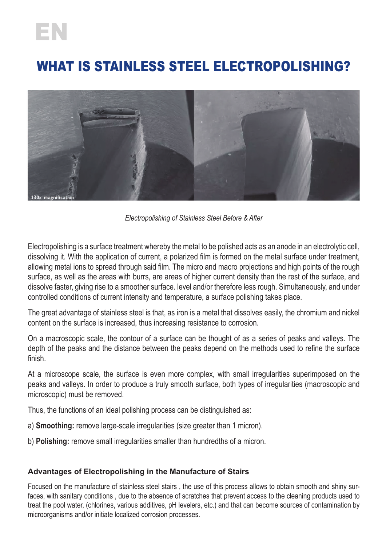## EN

## WHAT IS STAINLESS STEEL ELECTROPOLISHING?



*Electropolishing of Stainless Steel Before & After*

Electropolishing is a surface treatment whereby the metal to be polished acts as an anode in an electrolytic cell, dissolving it. With the application of current, a polarized film is formed on the metal surface under treatment, allowing metal ions to spread through said film. The micro and macro projections and high points of the rough surface, as well as the areas with burrs, are areas of higher current density than the rest of the surface, and dissolve faster, giving rise to a smoother surface. level and/or therefore less rough. Simultaneously, and under controlled conditions of current intensity and temperature, a surface polishing takes place.

The great advantage of stainless steel is that, as iron is a metal that dissolves easily, the chromium and nickel content on the surface is increased, thus increasing resistance to corrosion.

On a macroscopic scale, the contour of a surface can be thought of as a series of peaks and valleys. The depth of the peaks and the distance between the peaks depend on the methods used to refine the surface finish.

At a microscope scale, the surface is even more complex, with small irregularities superimposed on the peaks and valleys. In order to produce a truly smooth surface, both types of irregularities (macroscopic and microscopic) must be removed.

Thus, the functions of an ideal polishing process can be distinguished as:

- a) **Smoothing:** remove large-scale irregularities (size greater than 1 micron).
- b) **Polishing:** remove small irregularities smaller than hundredths of a micron.

#### **Advantages of Electropolishing in the Manufacture of Stairs**

Focused on the manufacture of stainless steel stairs , the use of this process allows to obtain smooth and shiny surfaces, with sanitary conditions , due to the absence of scratches that prevent access to the cleaning products used to treat the pool water, (chlorines, various additives, pH levelers, etc.) and that can become sources of contamination by microorganisms and/or initiate localized corrosion processes.